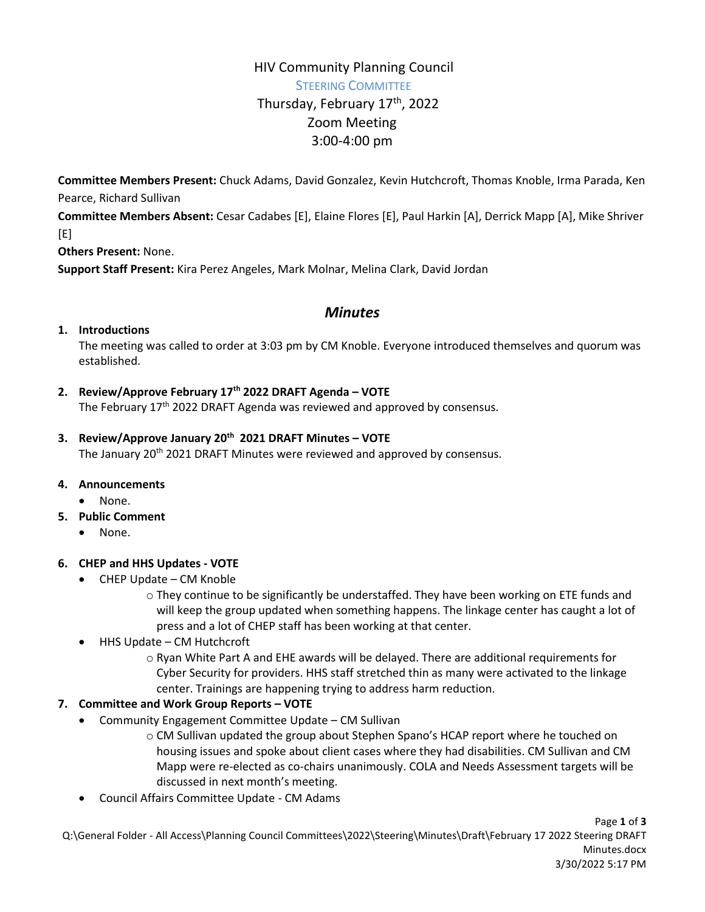# HIV Community Planning Council STEERING COMMITTEE Thursday, February 17<sup>th</sup>, 2022 Zoom Meeting 3:00-4:00 pm

**Committee Members Present:** Chuck Adams, David Gonzalez, Kevin Hutchcroft, Thomas Knoble, Irma Parada, Ken Pearce, Richard Sullivan

**Committee Members Absent:** Cesar Cadabes [E], Elaine Flores [E], Paul Harkin [A], Derrick Mapp [A], Mike Shriver [E]

**Others Present:** None.

**Support Staff Present:** Kira Perez Angeles, Mark Molnar, Melina Clark, David Jordan

# *Minutes*

#### **1. Introductions**

The meeting was called to order at 3:03 pm by CM Knoble. Everyone introduced themselves and quorum was established.

## **2. Review/Approve February 17th 2022 DRAFT Agenda – VOTE**

The February  $17<sup>th</sup>$  2022 DRAFT Agenda was reviewed and approved by consensus.

#### **3. Review/Approve January 20th 2021 DRAFT Minutes – VOTE**

The January 20<sup>th</sup> 2021 DRAFT Minutes were reviewed and approved by consensus.

#### **4. Announcements**

- None.
- **5. Public Comment**
	- None.

#### **6. CHEP and HHS Updates - VOTE**

- CHEP Update CM Knoble
	- o They continue to be significantly be understaffed. They have been working on ETE funds and will keep the group updated when something happens. The linkage center has caught a lot of press and a lot of CHEP staff has been working at that center.
- HHS Update CM Hutchcroft
	- o Ryan White Part A and EHE awards will be delayed. There are additional requirements for Cyber Security for providers. HHS staff stretched thin as many were activated to the linkage center. Trainings are happening trying to address harm reduction.

#### **7. Committee and Work Group Reports – VOTE**

- Community Engagement Committee Update CM Sullivan
	- o CM Sullivan updated the group about Stephen Spano's HCAP report where he touched on housing issues and spoke about client cases where they had disabilities. CM Sullivan and CM Mapp were re-elected as co-chairs unanimously. COLA and Needs Assessment targets will be discussed in next month's meeting.
- Council Affairs Committee Update CM Adams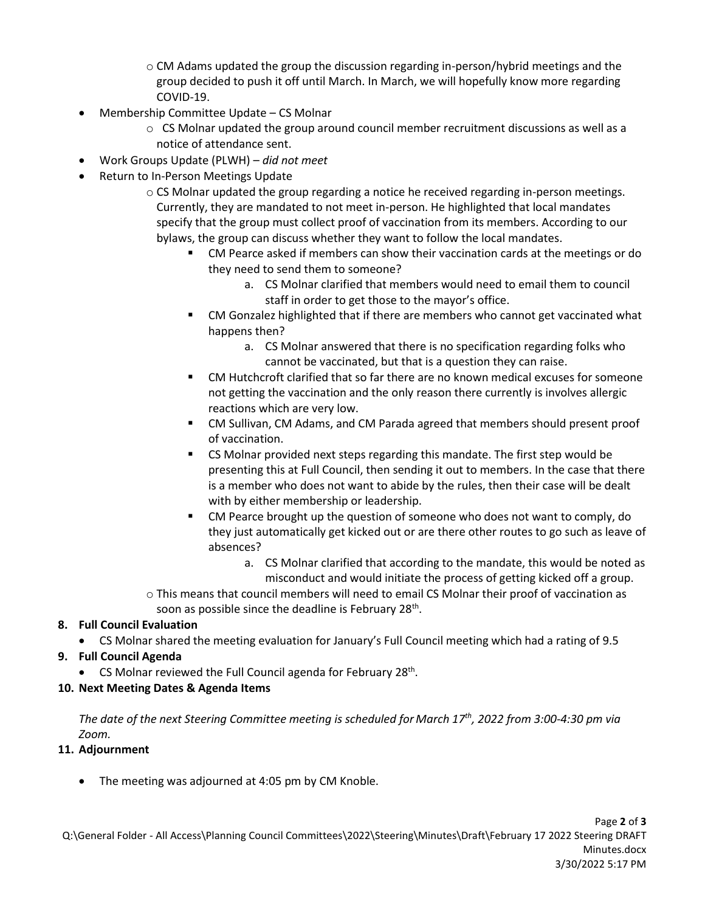- o CM Adams updated the group the discussion regarding in-person/hybrid meetings and the group decided to push it off until March. In March, we will hopefully know more regarding COVID-19.
- Membership Committee Update CS Molnar
	- $\circ$  CS Molnar updated the group around council member recruitment discussions as well as a notice of attendance sent.
- Work Groups Update (PLWH) *did not meet*
- Return to In-Person Meetings Update
	- o CS Molnar updated the group regarding a notice he received regarding in-person meetings. Currently, they are mandated to not meet in-person. He highlighted that local mandates specify that the group must collect proof of vaccination from its members. According to our bylaws, the group can discuss whether they want to follow the local mandates.
		- CM Pearce asked if members can show their vaccination cards at the meetings or do they need to send them to someone?
			- a. CS Molnar clarified that members would need to email them to council staff in order to get those to the mayor's office.
		- CM Gonzalez highlighted that if there are members who cannot get vaccinated what happens then?
			- a. CS Molnar answered that there is no specification regarding folks who cannot be vaccinated, but that is a question they can raise.
		- CM Hutchcroft clarified that so far there are no known medical excuses for someone not getting the vaccination and the only reason there currently is involves allergic reactions which are very low.
		- CM Sullivan, CM Adams, and CM Parada agreed that members should present proof of vaccination.
		- **EXECO** Molnar provided next steps regarding this mandate. The first step would be presenting this at Full Council, then sending it out to members. In the case that there is a member who does not want to abide by the rules, then their case will be dealt with by either membership or leadership.
		- CM Pearce brought up the question of someone who does not want to comply, do they just automatically get kicked out or are there other routes to go such as leave of absences?
			- a. CS Molnar clarified that according to the mandate, this would be noted as misconduct and would initiate the process of getting kicked off a group.
	- o This means that council members will need to email CS Molnar their proof of vaccination as soon as possible since the deadline is February 28<sup>th</sup>.

## **8. Full Council Evaluation**

- CS Molnar shared the meeting evaluation for January's Full Council meeting which had a rating of 9.5
- **9. Full Council Agenda**
	- CS Molnar reviewed the Full Council agenda for February 28<sup>th</sup>.
- **10. Next Meeting Dates & Agenda Items**

*The date of the next Steering Committee meeting is scheduled for March 17th, 2022 from 3:00-4:30 pm via Zoom.*

## **11. Adjournment**

• The meeting was adjourned at 4:05 pm by CM Knoble.